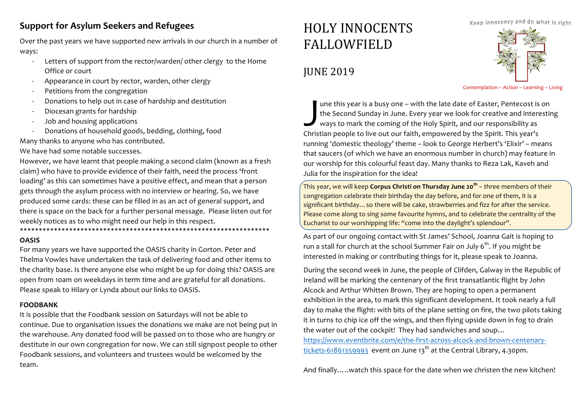### **Support for Asylum Seekers and Refugees**

Over the past years we have supported new arrivals in our church in a number of ways: 

- Letters of support from the rector/warden/ other clergy to the Home Office or court
- Appearance in court by rector, warden, other clergy
- Petitions from the congregation
- Donations to help out in case of hardship and destitution
- Diocesan grants for hardship
- Job and housing applications
- Donations of household goods, bedding, clothing, food

Many thanks to anyone who has contributed.

We have had some notable successes.

However, we have learnt that people making a second claim (known as a fresh claim) who have to provide evidence of their faith, need the process 'front loading' as this can sometimes have a positive effect, and mean that a person gets through the asylum process with no interview or hearing. So, we have produced some cards: these can be filled in as an act of general support, and there is space on the back for a further personal message. Please listen out for weekly notices as to who might need our help in this respect. \*\*\*\*\*\*\*\*\*\*\*\*\*\*\*\*\*\*\*\*\*\*\*\*\*\*\*\*\*\*\*\*\*\*\*\*\*\*\*\*\*\*\*\*\*\*\*\*\*\*\*\*\*\*\*\*\*\*\*\*\*\*\*\*\*\* 

### **OASIS**

For many years we have supported the OASIS charity in Gorton. Peter and Thelma Vowles have undertaken the task of delivering food and other items to the charity base. Is there anyone else who might be up for doing this? OASIS are open from 10am on weekdays in term time and are grateful for all donations. Please speak to Hilary or Lynda about our links to OASIS.

### **FOODBANK**

It is possible that the Foodbank session on Saturdays will not be able to continue. Due to organisation issues the donations we make are not being put in the warehouse. Any donated food will be passed on to those who are hungry or destitute in our own congregation for now. We can still signpost people to other Foodbank sessions, and volunteers and trustees would be welcomed by the team. 

# HOLY INNOCENTS FALLOWFIELD

## **IUNE 2019**



Contemplation – Action – Learning – Living

une this year is a busy one – with the late date of Easter, Pentecost is on the Second Sunday in June. Every year we look for creative and interesting ways to mark the coming of the Holy Spirit, and our responsibility as I une this year is a busy one – with the late date of Easter, Pentecost is<br>the Second Sunday in June. Every year we look for creative and intere<br>ways to mark the coming of the Holy Spirit, and our responsibility as<br>Christi running 'domestic theology' theme - look to George Herbert's 'Elixir' - means that saucers (of which we have an enormous number in church) may feature in our worship for this colourful feast day. Many thanks to Reza Lak, Kaveh and Julia for the inspiration for the idea!

**This vear, we will keep Corpus Christi on Thursday June 20<sup>th</sup> – three members of their** congregation celebrate their birthday the day before, and for one of them, it is a significant birthday... so there will be cake, strawberries and fizz for after the service. Please come along to sing some favourite hymns, and to celebrate the centrality of the Eucharist to our worshipping life: "come into the daylight's splendour".

As part of our ongoing contact with St James' School, Joanna Gait is hoping to run a stall for church at the school Summer Fair on July  $6<sup>th</sup>$ . If you might be interested in making or contributing things for it, please speak to Joanna.

During the second week in June, the people of Clifden, Galway in the Republic of Ireland will be marking the centenary of the first transatlantic flight by John Alcock and Arthur Whitten Brown. They are hoping to open a permanent exhibition in the area, to mark this significant development. It took nearly a full day to make the flight: with bits of the plane setting on fire, the two pilots taking it in turns to chip ice off the wings, and then flying upside down in fog to drain the water out of the cockpit! They had sandwiches and soup... https://www.eventbrite.com/e/the-first-across-alcock-and-brown-centenarytickets-61861359993 event on June  $13<sup>th</sup>$  at the Central Library, 4.30pm.

And finally…..watch this space for the date when we christen the new kitchen!